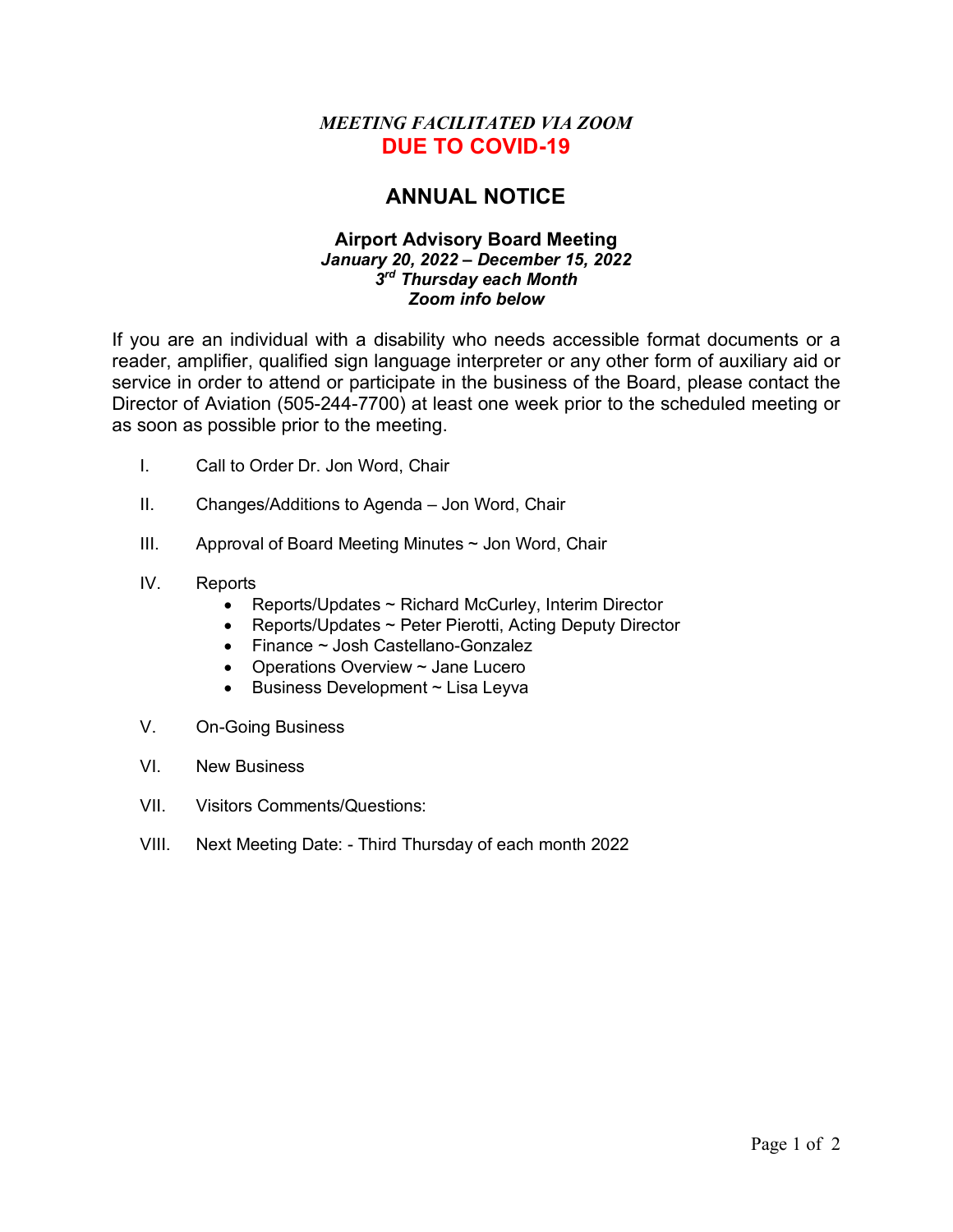## *MEETING FACILITATED VIA ZOOM*  **DUE TO COVID-19**

## **ANNUAL NOTICE**

## **Airport Advisory Board Meeting** *January 20, 2022 – December 15, 2022 3rd Thursday each Month Zoom info below*

If you are an individual with a disability who needs accessible format documents or a reader, amplifier, qualified sign language interpreter or any other form of auxiliary aid or service in order to attend or participate in the business of the Board, please contact the Director of Aviation (505-244-7700) at least one week prior to the scheduled meeting or as soon as possible prior to the meeting.

- I. Call to Order Dr. Jon Word, Chair
- II. Changes/Additions to Agenda Jon Word, Chair
- III. Approval of Board Meeting Minutes ~ Jon Word, Chair
- IV. Reports
	- Reports/Updates ~ Richard McCurley, Interim Director
	- Reports/Updates ~ Peter Pierotti, Acting Deputy Director
	- Finance ~ Josh Castellano-Gonzalez
	- Operations Overview ~ Jane Lucero
	- Business Development ~ Lisa Leyva
- V. On-Going Business
- VI. New Business
- VII. Visitors Comments/Questions:
- VIII. Next Meeting Date: Third Thursday of each month 2022